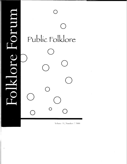|           | Public Folklore |
|-----------|-----------------|
|           |                 |
|           |                 |
|           |                 |
| <b>DO</b> |                 |
|           | $\bigcap$       |

Ĭ

Volume 31, Number 2 2000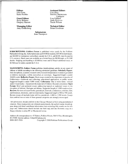**Editors**  John Fenn Katie Peebles

**Guest Editors**  Betty Belanus Gregory Hansen

**Managing Editor**  Amy Goldenberg

#### **Assistant Editors**

Lisa Akey Danille Christensen Lindquist Lisa Gabbert Andy Kolovos Tracie Wilson

#### **Technical Editor**  Brian Goodman

**Submissions**  Jenn Thompson

**SUBSCRIPTIONS:** *Folklore Forum* is published twice yearly by the Folklore Publications Group, Inc. Subscription rates are \$10.00 for students, \$15.00 for individuals, and \$24.00 for institutions (subscribers outside the U.S.A. add \$2.00; must be paid in U.S. currency). Back issues are available on a limited basis for \$8.00/single, or \$12.00/ double. Shipping and handling is \$3.001first issue and \$.75/each additional issue, or \$3.50/issue for orders outside the U.S.A.

**MANUSCRIPTS: Folklore Forum publishes interdisciplinary articles on any aspect of** folklore or folklife according to the following submission guidelines. **Scholarly Papers:**  Inter-disciplinary, academic research with a focused interpretation or analysis grounded in folkloric materials-verbal, nonverbal, or customary. Suggested length is under 10,000 words. **Reflective Essays:** Short essays rooted in the experience or practice of Folkloristics-fieldwork and collecting, educational application, or public sector. Suggested length is under 5,000 words. **Collectanea**: One or more items—textual and/or visual media—that present the materials of folklore. Excerpts considered. Open **Forum:** Brief and pertinent essays addressing topical or neglected issues in the discipline of folklore. Dialogue and debate. Suggested length is 3,000 words or less. **Reviews:** Reviews of recent books; periodicals; festivals; conferences; exhibits; film; and broadcast, electronic, and recorded media. Suggested length is 500 to 750 words. Review essays of multiple items will be considered—1,000 to 1,500 words. Essays that combine two or more of these general categories are strongly encouraged.

All submissions should conform to the *Chicago Manual of Style* using parenthetical citations. Since manuscripts are refereed anonymously, the author's name should appear along with brief contributor information (not exceeding fifty words) on the **title**  *page* only. Submissions should include one hard copy and one electronic copy on a floppy diskette in either PC or Macintosh format.

Address all correspondence to: 47 Editors, Folklore Forum, 504 N. Fess, Bloomington, IN 47408. Internet address: folkpub@indiana.edu ISSN 0015-5926 Copyright © 2000 Folklore Publications Group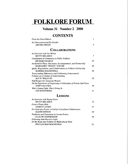# **FOLKLORE FORUM**

#### **Volume 31 Number 2 2000**

## **CONTENTS**

| <b>From the Guest Editors</b>                                     |     |
|-------------------------------------------------------------------|-----|
| An Unreconstructed Do-Gooder                                      |     |
| <b>ARCHIE GREEN</b>                                               | 5.  |
| <b>COLLABORATIONS</b>                                             |     |
| An Interview with Joe Wilson                                      |     |
| <b>BETTY BELANUS</b>                                              | 7   |
| <b>Commitment to Community in Public Folklore</b>                 |     |
| RICHARD MARCH                                                     | 25. |
| Anchored in Place: Encounter, Accompaniment, and Partnership      |     |
| MARGARET ''PEGGY'' YOCOM                                          | 26  |
| Quilts, Regionalism, and Collaborations in Folklore Scholarship   |     |
| <b>MARSHA MACDOWELL</b>                                           | 28  |
| Transcending Differences and Celebrating Achievements:            |     |
| Folklore as a Conduit of Understanding                            |     |
| ALF H. WALLE III                                                  | 29  |
| Nuff Respect for Jamaican Women:                                  |     |
| On the Experience of Organizing a Celebration of Female Dub Poets |     |
| <b>JOHN GALUSKA</b>                                               | 30  |
| Who's Gonna Fight, Who's Giving In                                |     |
| <b>JAN ROSENBERG</b>                                              | 31  |

#### **LESSONS**

| An Interview with Rayna Green                             |    |
|-----------------------------------------------------------|----|
| <b>BETTY BELANUS</b>                                      | 33 |
| From a Potato Hole                                        |    |
| <b>JAMES P. LEARY</b>                                     | 47 |
| For Lack of a Prayer: A Call for Consultant Collaboration |    |
| <b>GLENN HINSON</b>                                       | 48 |
| Traditions and Transitions in Acoma Pottery               |    |
| <b>CLAUDE STEPHENSON</b>                                  | 49 |
| Following Aunt Harriet's Light:                           |    |
| Or My Route into Folklore & Multicultural Work            |    |
| PHYLLIS MAY-MACHUNDA                                      |    |
|                                                           |    |